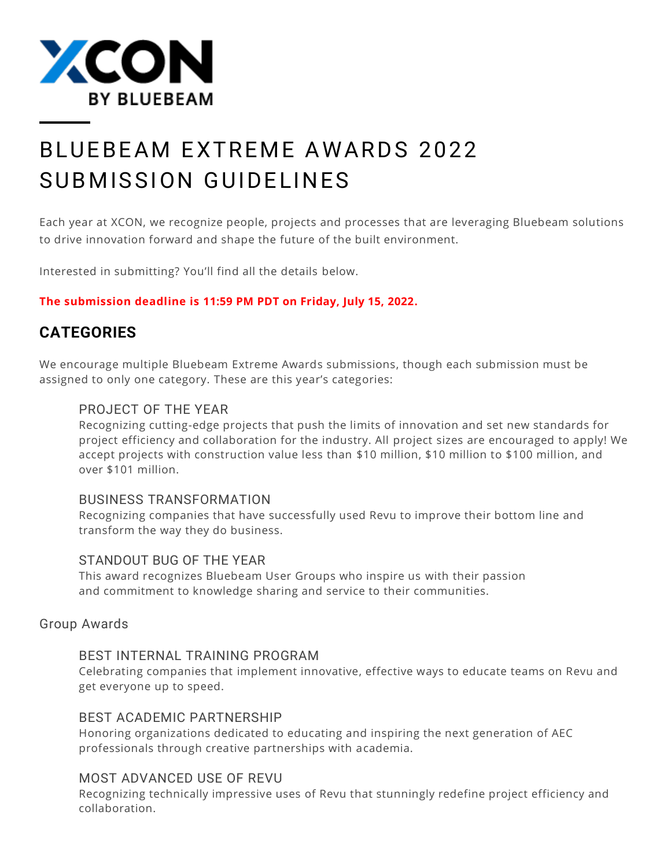

# B LUFB FAM FXTRFMF AWARDS 2022 SUBMISSION GUIDELINES

Each year at XCON, we recognize people, projects and processes that are leveraging Bluebeam solutions to drive innovation forward and shape the future of the built environment.

Interested in submitting? You'll find all the details below.

### **The submission deadline is 11:59 PM PDT on Friday, July 15, 2022.**

# <span id="page-0-0"></span>**CATEGORIES**

We encourage multiple Bluebeam Extreme Awards submissions, though each submission must be assigned to only one category. These are this year's categories:

# PROJECT OF THE YEAR

Recognizing cutting-edge projects that push the limits of innovation and set new standards for project efficiency and collaboration for the industry. All project sizes are encouraged to apply! We accept projects with construction value less than \$10 million, \$10 million to \$100 million, and over \$101 million.

### BUSINESS TRANSFORMATION

Recognizing companies that have successfully used Revu to improve their bottom line and transform the way they do business.

### STANDOUT BUG OF THE YEAR

This award recognizes Bluebeam User Groups who inspire us with their passion and commitment to knowledge sharing and service to their communities.

### Group Awards

### BEST INTERNAL TRAINING PROGRAM

Celebrating companies that implement innovative, effective ways to educate teams on Revu and get everyone up to speed.

### BEST ACADEMIC PARTNERSHIP

Honoring organizations dedicated to educating and inspiring the next generation of AEC professionals through creative partnerships with academia.

### MOST ADVANCED USE OF REVU

Recognizing technically impressive uses of Revu that stunningly redefine project efficiency and collaboration.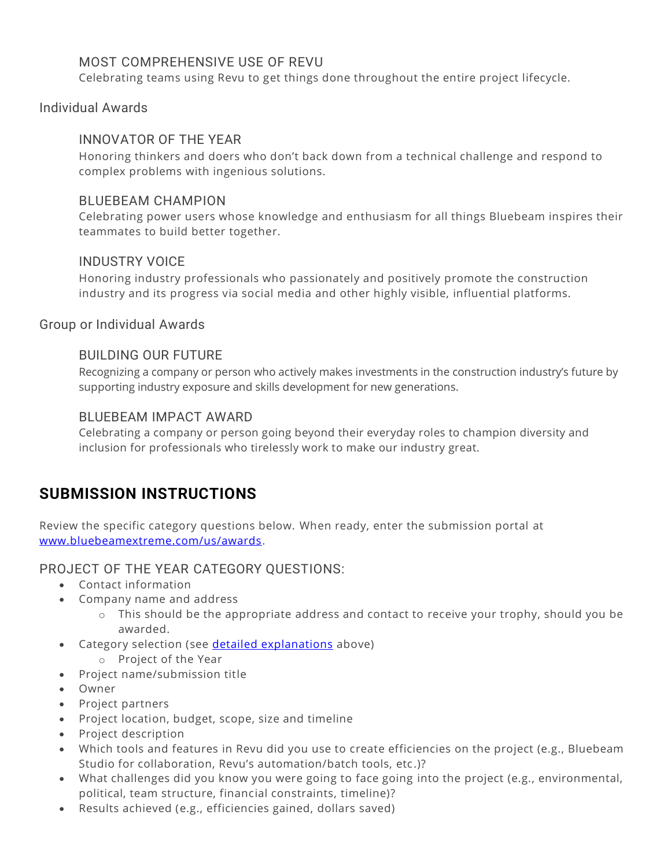# MOST COMPREHENSIVE USE OF REVU

Celebrating teams using Revu to get things done throughout the entire project lifecycle.

#### Individual Awards

### INNOVATOR OF THE YEAR

Honoring thinkers and doers who don't back down from a technical challenge and respond to complex problems with ingenious solutions.

#### BLUEBEAM CHAMPION

Celebrating power users whose knowledge and enthusiasm for all things Bluebeam inspires their teammates to build better together.

#### INDUSTRY VOICE

Honoring industry professionals who passionately and positively promote the construction industry and its progress via social media and other highly visible, influential platforms.

Group or Individual Awards

#### BUILDING OUR FUTURE

Recognizing a company or person who actively makes investments in the construction industry's future by supporting industry exposure and skills development for new generations.

#### BLUEBEAM IMPACT AWARD

Celebrating a company or person going beyond their everyday roles to champion diversity and inclusion for professionals who tirelessly work to make our industry great.

# **SUBMISSION INSTRUCTIONS**

Review the specific category questions below. When ready, enter the submission portal at [www.bluebeamextreme.com/us/awards.](http://www.bluebeamextreme.com/us/awards/)

PROJECT OF THE YEAR CATEGORY QUESTIONS:

- Contact information
- Company name and address
	- o This should be the appropriate address and contact to receive your trophy, should you be awarded.
- Category selection (see **detailed explanations** above)
	- o Project of the Year
- Project name/submission title
- Owner
- Project partners
- Project location, budget, scope, size and timeline
- Project description
- Which tools and features in Revu did you use to create efficiencies on the project (e.g., Bluebeam Studio for collaboration, Revu's automation/batch tools, etc .)?
- What challenges did you know you were going to face going into the project (e.g., environmental, political, team structure, financial constraints, timeline)?
- Results achieved (e.g., efficiencies gained, dollars saved)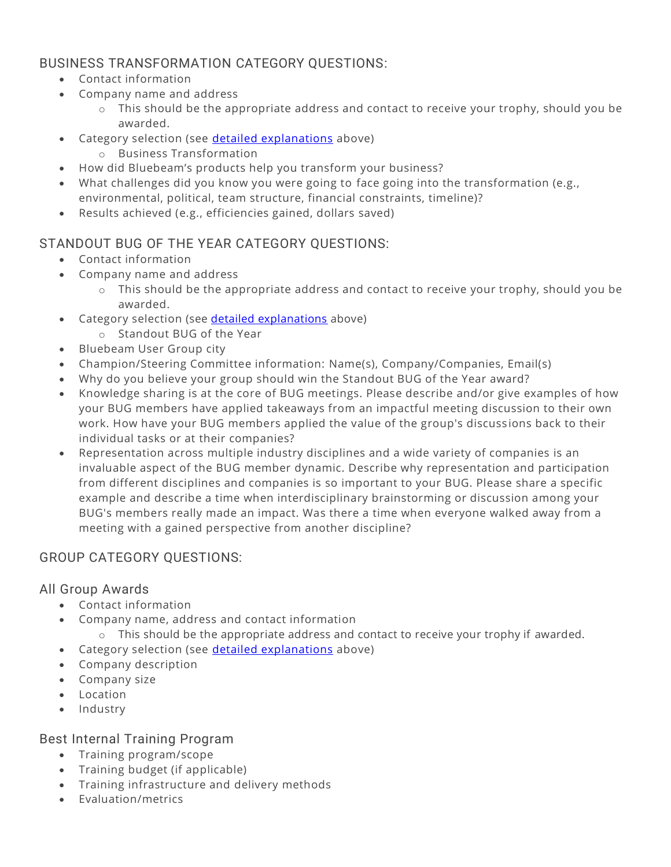# BUSINESS TRANSFORMATION CATEGORY QUESTIONS:

- Contact information
- Company name and address
	- o This should be the appropriate address and contact to receive your trophy, should you be awarded.
- Category selection (see [detailed explanations](#page-0-0) above)
	- o Business Transformation
- How did Bluebeam's products help you transform your business?
- What challenges did you know you were going to face going into the transformation (e.g., environmental, political, team structure, financial constraints, timeline)?
- Results achieved (e.g., efficiencies gained, dollars saved)

# STANDOUT BUG OF THE YEAR CATEGORY QUESTIONS:

- Contact information
- Company name and address
	- o This should be the appropriate address and contact to receive your trophy, should you be awarded.
- Category selection (see [detailed explanations](#page-0-0) above)
	- o Standout BUG of the Year
- Bluebeam User Group city
- Champion/Steering Committee information: Name(s), Company/Companies, Email(s)
- Why do you believe your group should win the Standout BUG of the Year award?
- Knowledge sharing is at the core of BUG meetings. Please describe and/or give examples of how your BUG members have applied takeaways from an impactful meeting discussion to their own work. How have your BUG members applied the value of the group's discussions back to their individual tasks or at their companies?
- Representation across multiple industry disciplines and a wide variety of companies is an invaluable aspect of the BUG member dynamic. Describe why representation and participation from different disciplines and companies is so important to your BUG. Please share a specific example and describe a time when interdisciplinary brainstorming or discussion among your BUG's members really made an impact. Was there a time when everyone walked away from a meeting with a gained perspective from another discipline?

# GROUP CATEGORY QUESTIONS:

# All Group Awards

- Contact information
- Company name, address and contact information
	- $\circ$  This should be the appropriate address and contact to receive your trophy if awarded.
- Category selection (see [detailed explanations](#page-0-0) above)
- Company description
- Company size
- Location
- Industry

# Best Internal Training Program

- Training program/scope
- Training budget (if applicable)
- Training infrastructure and delivery methods
- Evaluation/metrics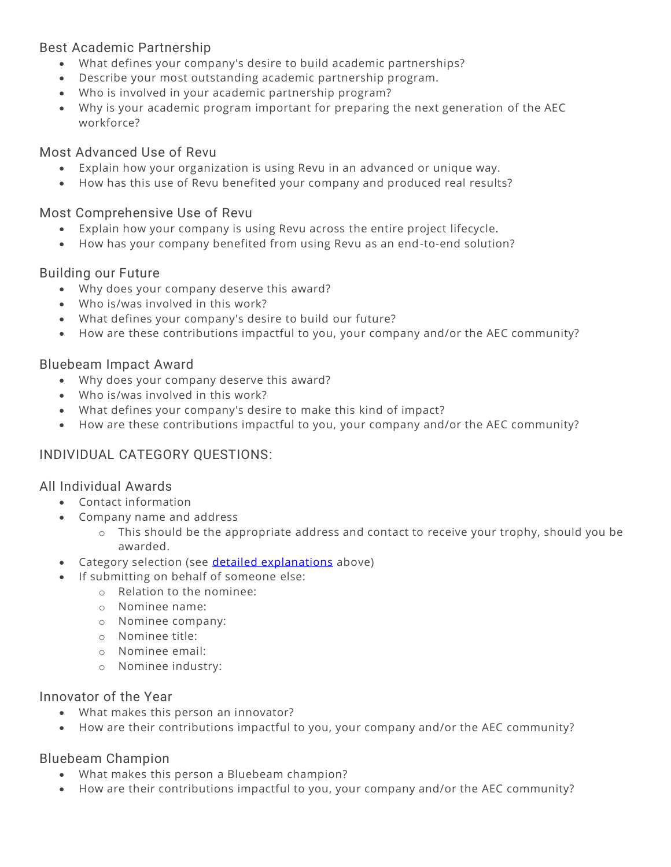# Best Academic Partnership

- What defines your company's desire to build academic partnerships?
- Describe your most outstanding academic partnership program.
- Who is involved in your academic partnership program?
- Why is your academic program important for preparing the next generation of the AEC workforce?

# Most Advanced Use of Revu

- Explain how your organization is using Revu in an advanced or unique way.
- How has this use of Revu benefited your company and produced real results?

# Most Comprehensive Use of Revu

- Explain how your company is using Revu across the entire project lifecycle.
- How has your company benefited from using Revu as an end-to-end solution?

# Building our Future

- Why does your company deserve this award?
- Who is/was involved in this work?
- What defines your company's desire to build our future?
- How are these contributions impactful to you, your company and/or the AEC community?

# Bluebeam Impact Award

- Why does your company deserve this award?
- Who is/was involved in this work?
- What defines your company's desire to make this kind of impact?
- How are these contributions impactful to you, your company and/or the AEC community?

# INDIVIDUAL CATEGORY QUESTIONS:

# All Individual Awards

- Contact information
- Company name and address
	- $\circ$  This should be the appropriate address and contact to receive your trophy, should you be awarded.
- Category selection (see [detailed explanations](#page-0-0) above)
- If submitting on behalf of someone else:
	- o Relation to the nominee:
	- o Nominee name:
	- o Nominee company:
	- o Nominee title:
	- o Nominee email:
	- o Nominee industry:

# Innovator of the Year

- What makes this person an innovator?
- How are their contributions impactful to you, your company and/or the AEC community?

# Bluebeam Champion

- What makes this person a Bluebeam champion?
- How are their contributions impactful to you, your company and/or the AEC community?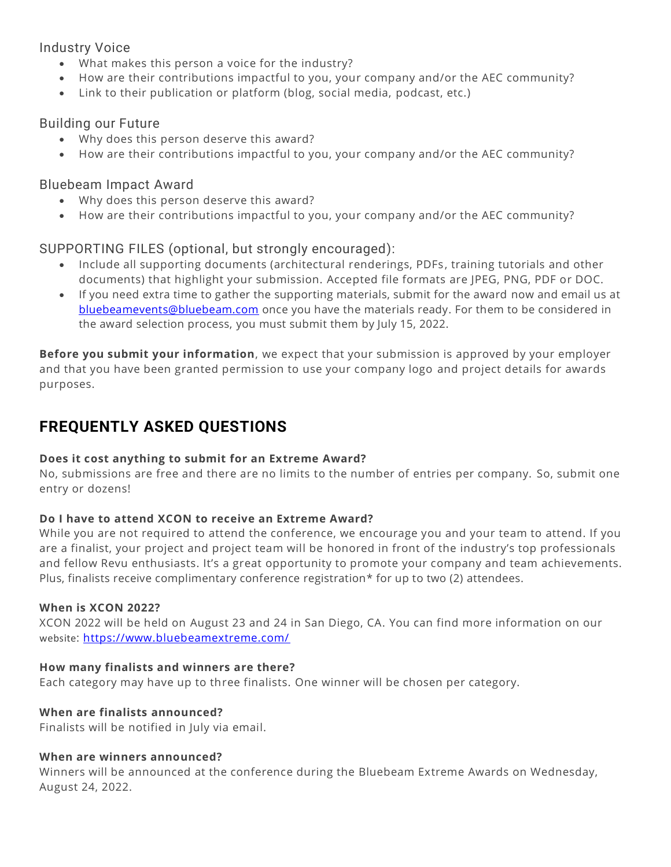## Industry Voice

- What makes this person a voice for the industry?
- How are their contributions impactful to you, your company and/or the AEC community?
- Link to their publication or platform (blog, social media, podcast, etc.)

## Building our Future

- Why does this person deserve this award?
- How are their contributions impactful to you, your company and/or the AEC community?

## Bluebeam Impact Award

- Why does this person deserve this award?
- How are their contributions impactful to you, your company and/or the AEC community?

# SUPPORTING FILES (optional, but strongly encouraged):

- Include all supporting documents (architectural renderings, PDFs , training tutorials and other documents) that highlight your submission. Accepted file formats are JPEG, PNG, PDF or DOC.
- If you need extra time to gather the supporting materials, submit for the award now and email us at [bluebeamevents@bluebeam.com](mailto:bluebeamevents@bluebeam.com) once you have the materials ready. For them to be considered in the award selection process, you must submit them by July 15, 2022.

**Before you submit your information**, we expect that your submission is approved by your employer and that you have been granted permission to use your company logo and project details for awards purposes.

# **FREQUENTLY ASKED QUESTIONS**

### **Does it cost anything to submit for an Extreme Award?**

No, submissions are free and there are no limits to the number of entries per company. So, submit one entry or dozens!

### **Do I have to attend XCON to receive an Extreme Award?**

While you are not required to attend the conference, we encourage you and your team to attend. If you are a finalist, your project and project team will be honored in front of the industry's top professionals and fellow Revu enthusiasts. It's a great opportunity to promote your company and team achievements. Plus, finalists receive complimentary conference registration\* for up to two (2) attendees.

### **When is XCON 2022?**

XCON 2022 will be held on August 23 and 24 in San Diego, CA. You can find more information on our website:<https://www.bluebeamextreme.com/>

### **How many finalists and winners are there?**

Each category may have up to three finalists. One winner will be chosen per category.

### **When are finalists announced?**

Finalists will be notified in July via email.

#### **When are winners announced?**

Winners will be announced at the conference during the Bluebeam Extreme Awards on Wednesday, August 24, 2022.